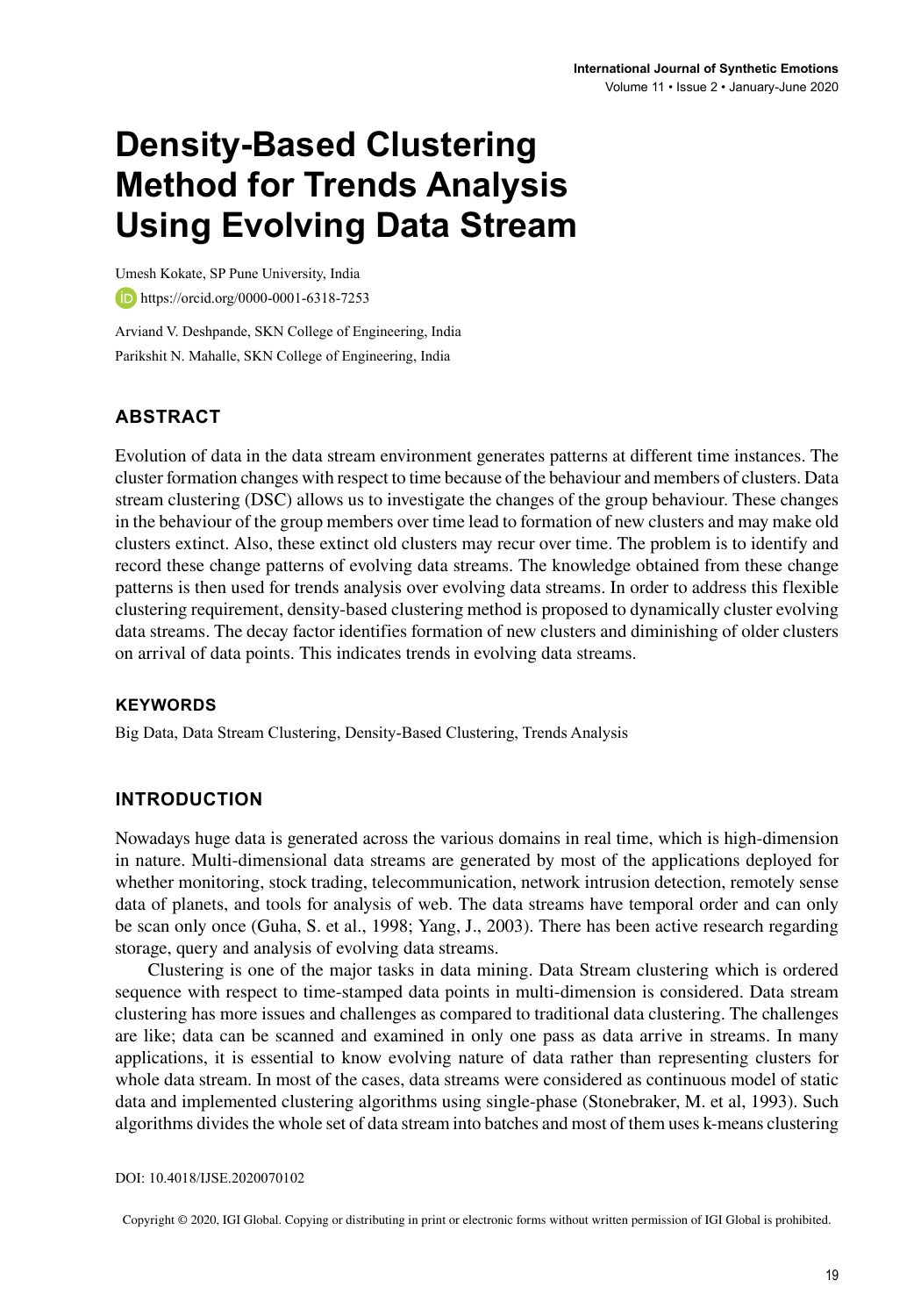# **Density-Based Clustering Method for Trends Analysis Using Evolving Data Stream**

Umesh Kokate, SP Pune University, India https://orcid.org/0000-0001-6318-7253

Arviand V. Deshpande, SKN College of Engineering, India Parikshit N. Mahalle, SKN College of Engineering, India

### **ABSTRACT**

Evolution of data in the data stream environment generates patterns at different time instances. The cluster formation changes with respect to time because of the behaviour and members of clusters. Data stream clustering (DSC) allows us to investigate the changes of the group behaviour. These changes in the behaviour of the group members over time lead to formation of new clusters and may make old clusters extinct. Also, these extinct old clusters may recur over time. The problem is to identify and record these change patterns of evolving data streams. The knowledge obtained from these change patterns is then used for trends analysis over evolving data streams. In order to address this flexible clustering requirement, density-based clustering method is proposed to dynamically cluster evolving data streams. The decay factor identifies formation of new clusters and diminishing of older clusters on arrival of data points. This indicates trends in evolving data streams.

#### **Keywords**

Big Data, Data Stream Clustering, Density-Based Clustering, Trends Analysis

#### **INTRODUCTION**

Nowadays huge data is generated across the various domains in real time, which is high-dimension in nature. Multi-dimensional data streams are generated by most of the applications deployed for whether monitoring, stock trading, telecommunication, network intrusion detection, remotely sense data of planets, and tools for analysis of web. The data streams have temporal order and can only be scan only once (Guha, S. et al., 1998; Yang, J., 2003). There has been active research regarding storage, query and analysis of evolving data streams.

Clustering is one of the major tasks in data mining. Data Stream clustering which is ordered sequence with respect to time-stamped data points in multi-dimension is considered. Data stream clustering has more issues and challenges as compared to traditional data clustering. The challenges are like; data can be scanned and examined in only one pass as data arrive in streams. In many applications, it is essential to know evolving nature of data rather than representing clusters for whole data stream. In most of the cases, data streams were considered as continuous model of static data and implemented clustering algorithms using single-phase (Stonebraker, M. et al, 1993). Such algorithms divides the whole set of data stream into batches and most of them uses k-means clustering

DOI: 10.4018/IJSE.2020070102

Copyright © 2020, IGI Global. Copying or distributing in print or electronic forms without written permission of IGI Global is prohibited.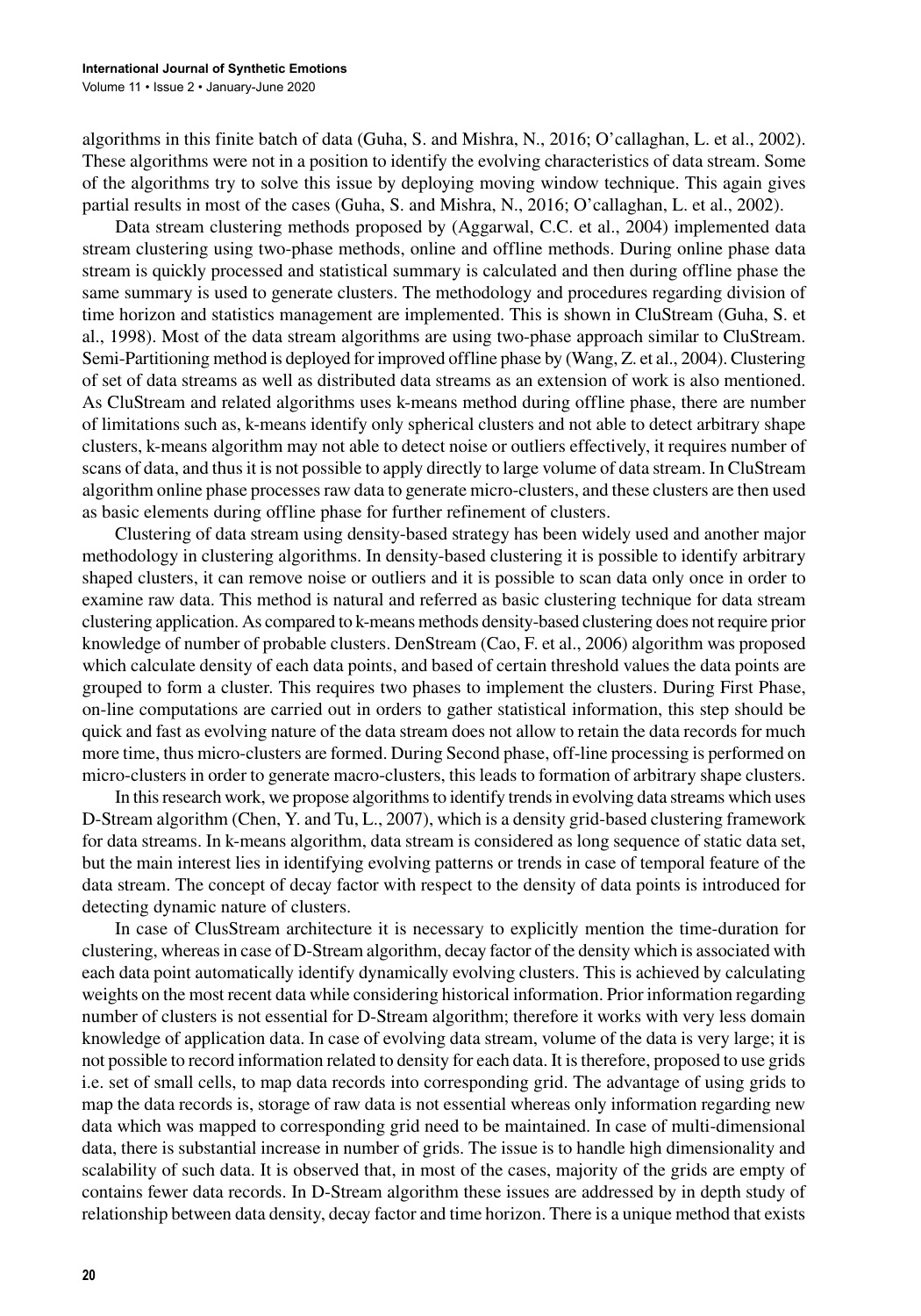algorithms in this finite batch of data (Guha, S. and Mishra, N., 2016; O'callaghan, L. et al., 2002). These algorithms were not in a position to identify the evolving characteristics of data stream. Some of the algorithms try to solve this issue by deploying moving window technique. This again gives partial results in most of the cases (Guha, S. and Mishra, N., 2016; O'callaghan, L. et al., 2002).

Data stream clustering methods proposed by (Aggarwal, C.C. et al., 2004) implemented data stream clustering using two-phase methods, online and offline methods. During online phase data stream is quickly processed and statistical summary is calculated and then during offline phase the same summary is used to generate clusters. The methodology and procedures regarding division of time horizon and statistics management are implemented. This is shown in CluStream (Guha, S. et al., 1998). Most of the data stream algorithms are using two-phase approach similar to CluStream. Semi-Partitioning method is deployed for improved offline phase by (Wang, Z. et al., 2004). Clustering of set of data streams as well as distributed data streams as an extension of work is also mentioned. As CluStream and related algorithms uses k-means method during offline phase, there are number of limitations such as, k-means identify only spherical clusters and not able to detect arbitrary shape clusters, k-means algorithm may not able to detect noise or outliers effectively, it requires number of scans of data, and thusit is not possible to apply directly to large volume of data stream. In CluStream algorithm online phase processesraw data to generate micro-clusters, and these clusters are then used as basic elements during offline phase for further refinement of clusters.

Clustering of data stream using density-based strategy has been widely used and another major methodology in clustering algorithms. In density-based clustering it is possible to identify arbitrary shaped clusters, it can remove noise or outliers and it is possible to scan data only once in order to examine raw data. This method is natural and referred as basic clustering technique for data stream clustering application. As compared to k-means methods density-based clustering does notrequire prior knowledge of number of probable clusters. DenStream (Cao, F. et al., 2006) algorithm was proposed which calculate density of each data points, and based of certain threshold values the data points are grouped to form a cluster. This requires two phases to implement the clusters. During First Phase, on-line computations are carried out in orders to gather statistical information, this step should be quick and fast as evolving nature of the data stream does not allow to retain the data records for much more time, thus micro-clusters are formed. During Second phase, off-line processing is performed on micro-clusters in order to generate macro-clusters, this leads to formation of arbitrary shape clusters.

In this research work, we propose algorithms to identify trends in evolving data streams which uses D-Stream algorithm (Chen, Y. and Tu, L., 2007), which is a density grid-based clustering framework for data streams. In k-means algorithm, data stream is considered as long sequence of static data set, but the main interest lies in identifying evolving patterns or trends in case of temporal feature of the data stream. The concept of decay factor with respect to the density of data points is introduced for detecting dynamic nature of clusters.

In case of ClusStream architecture it is necessary to explicitly mention the time-duration for clustering, whereasin case of D-Stream algorithm, decay factor of the density which is associated with each data point automatically identify dynamically evolving clusters. This is achieved by calculating weights on the most recent data while considering historical information. Prior information regarding number of clusters is not essential for D-Stream algorithm; therefore it works with very less domain knowledge of application data. In case of evolving data stream, volume of the data is very large; it is not possible to record information related to density for each data. It istherefore, proposed to use grids i.e. set of small cells, to map data records into corresponding grid. The advantage of using grids to map the data records is, storage of raw data is not essential whereas only information regarding new data which was mapped to corresponding grid need to be maintained. In case of multi-dimensional data, there is substantial increase in number of grids. The issue is to handle high dimensionality and scalability of such data. It is observed that, in most of the cases, majority of the grids are empty of contains fewer data records. In D-Stream algorithm these issues are addressed by in depth study of relationship between data density, decay factor and time horizon. There is a unique method that exists